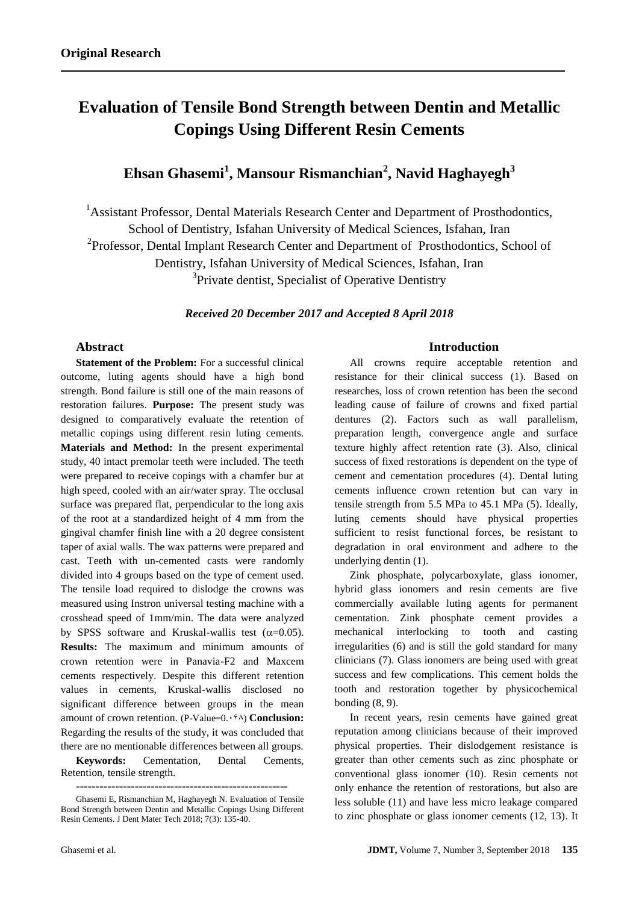# **Evaluation of Tensile Bond Strength between Dentin and Metallic Copings Using Different Resin Cements**

# **Ehsan Ghasemi<sup>1</sup> , Mansour Rismanchian<sup>2</sup> , Navid Haghayegh<sup>3</sup>**

<sup>1</sup>Assistant Professor, Dental Materials Research Center and Department of Prosthodontics, School of Dentistry, Isfahan University of Medical Sciences, Isfahan, Iran <sup>2</sup>Professor, Dental Implant Research Center and Department of Prosthodontics, School of Dentistry, Isfahan University of Medical Sciences, Isfahan, Iran <sup>3</sup>Private dentist, Specialist of Operative Dentistry

*Received 20 December 2017 and Accepted 8 April 2018*

## **Abstract**

**Statement of the Problem:** For a successful clinical outcome, luting agents should have a high bond strength. Bond failure is still one of the main reasons of restoration failures. **Purpose:** The present study was designed to comparatively evaluate the retention of metallic copings using different resin luting cements. **Materials and Method:** In the present experimental study, 40 intact premolar teeth were included. The teeth were prepared to receive copings with a chamfer bur at high speed, cooled with an air/water spray. The occlusal surface was prepared flat, perpendicular to the long axis of the root at a standardized height of 4 mm from the gingival chamfer finish line with a 20 degree consistent taper of axial walls. The wax patterns were prepared and cast. Teeth with un-cemented casts were randomly divided into 4 groups based on the type of cement used. The tensile load required to dislodge the crowns was measured using Instron universal testing machine with a crosshead speed of 1mm/min. The data were analyzed by SPSS software and Kruskal-wallis test  $(\alpha=0.05)$ . **Results:** The maximum and minimum amounts of crown retention were in Panavia-F2 and Maxcem cements respectively. Despite this different retention values in cements, Kruskal-wallis disclosed no significant difference between groups in the mean amount of crown retention. (P-Value=0. $\cdot$ <sup>5</sup> $\land$ ) **Conclusion:** Regarding the results of the study, it was concluded that there are no mentionable differences between all groups.

**Keywords:** Cementation, Dental Cements, Retention, tensile strength.

Ghasemi E, Rismanchian M, Haghayegh N. Evaluation of Tensile Bond Strength between Dentin and Metallic Copings Using Different Resin Cements. J Dent Mater Tech 2018; 7(3): 135-40.

#### **Introduction**

All crowns require acceptable retention and resistance for their clinical success (1). Based on researches, loss of crown retention has been the second leading cause of failure of crowns and fixed partial dentures (2). Factors such as wall parallelism, preparation length, convergence angle and surface texture highly affect retention rate (3). Also, clinical success of fixed restorations is dependent on the type of cement and cementation procedures (4). Dental luting cements influence crown retention but can vary in tensile strength from 5.5 MPa to 45.1 MPa (5). Ideally, luting cements should have physical properties sufficient to resist functional forces, be resistant to degradation in oral environment and adhere to the underlying dentin (1).

Zink phosphate, polycarboxylate, glass ionomer, hybrid glass ionomers and resin cements are five commercially available luting agents for permanent cementation. Zink phosphate cement provides a mechanical interlocking to tooth and casting irregularities (6) and is still the gold standard for many clinicians (7). Glass ionomers are being used with great success and few complications. This cement holds the tooth and restoration together by physicochemical bonding (8, 9).

In recent years, resin cements have gained great reputation among clinicians because of their improved physical properties. Their dislodgement resistance is greater than other cements such as zinc phosphate or conventional glass ionomer (10). Resin cements not only enhance the retention of restorations, but also are less soluble (11) and have less micro leakage compared to zinc phosphate or glass ionomer cements (12, 13). It

**<sup>------------------------------------------------------</sup>**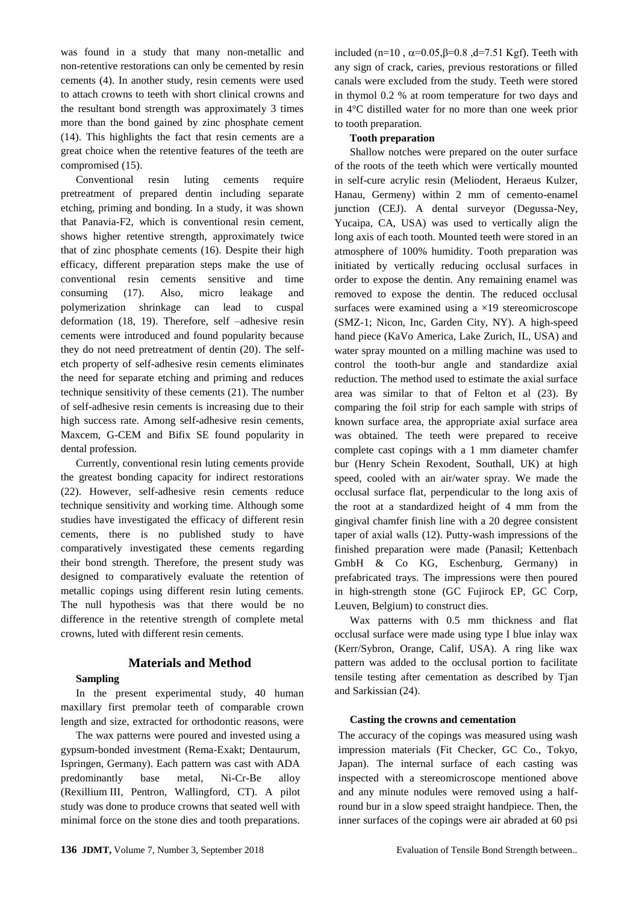was found in a study that many non-metallic and non-retentive restorations can only be cemented by resin cements (4). In another study, resin cements were used to attach crowns to teeth with short clinical crowns and the resultant bond strength was approximately 3 times more than the bond gained by zinc phosphate cement (14). This highlights the fact that resin cements are a great choice when the retentive features of the teeth are compromised (15).

Conventional resin luting cements require pretreatment of prepared dentin including separate etching, priming and bonding. In a study, it was shown that Panavia-F2, which is conventional resin cement, shows higher retentive strength, approximately twice that of zinc phosphate cements (16). Despite their high efficacy, different preparation steps make the use of conventional resin cements sensitive and time consuming (17). Also, micro leakage and polymerization shrinkage can lead to cuspal deformation (18, 19). Therefore, self –adhesive resin cements were introduced and found popularity because they do not need pretreatment of dentin (20). The selfetch property of self-adhesive resin cements eliminates the need for separate etching and priming and reduces technique sensitivity of these cements (21). The number of self-adhesive resin cements is increasing due to their high success rate. Among self-adhesive resin cements, Maxcem, G-CEM and Bifix SE found popularity in dental profession.

Currently, conventional resin luting cements provide the greatest bonding capacity for indirect restorations (22). However, self-adhesive resin cements reduce technique sensitivity and working time. Although some studies have investigated the efficacy of different resin cements, there is no published study to have comparatively investigated these cements regarding their bond strength. Therefore, the present study was designed to comparatively evaluate the retention of metallic copings using different resin luting cements. The null hypothesis was that there would be no difference in the retentive strength of complete metal crowns, luted with different resin cements.

### **Materials and Method**

#### **Sampling**

In the present experimental study, 40 human maxillary first premolar teeth of comparable crown length and size, extracted for orthodontic reasons, were

The wax patterns were poured and invested using a gypsum-bonded investment (Rema-Exakt; Dentaurum, Ispringen, Germany). Each pattern was cast with ADA predominantly base metal, Ni-Cr-Be alloy (Rexillium III, Pentron, Wallingford, CT). A pilot study was done to produce crowns that seated well with minimal force on the stone dies and tooth preparations.

included (n=10, α=0.05,β=0.8, d=7.51 Kgf). Teeth with any sign of crack, caries, previous restorations or filled canals were excluded from the study. Teeth were stored in thymol 0.2 % at room temperature for two days and in 4°C distilled water for no more than one week prior to tooth preparation.

#### **Tooth preparation**

Shallow notches were prepared on the outer surface of the roots of the teeth which were vertically mounted in self-cure acrylic resin (Meliodent, Heraeus Kulzer, Hanau, Germeny) within 2 mm of cemento-enamel junction (CEJ). A dental surveyor (Degussa-Ney, Yucaipa, CA, USA) was used to vertically align the long axis of each tooth. Mounted teeth were stored in an atmosphere of 100% humidity. Tooth preparation was initiated by vertically reducing occlusal surfaces in order to expose the dentin. Any remaining enamel was removed to expose the dentin. The reduced occlusal surfaces were examined using a ×19 stereomicroscope (SMZ-1; Nicon, Inc, Garden City, NY). A high-speed hand piece (KaVo America, Lake Zurich, IL, USA) and water spray mounted on a milling machine was used to control the tooth-bur angle and standardize axial reduction. The method used to estimate the axial surface area was similar to that of Felton et al (23). By comparing the foil strip for each sample with strips of known surface area, the appropriate axial surface area was obtained. The teeth were prepared to receive complete cast copings with a 1 mm diameter chamfer bur (Henry Schein Rexodent, Southall, UK) at high speed, cooled with an air/water spray. We made the occlusal surface flat, perpendicular to the long axis of the root at a standardized height of 4 mm from the gingival chamfer finish line with a 20 degree consistent taper of axial walls (12). Putty-wash impressions of the finished preparation were made (Panasil; Kettenbach GmbH & Co KG, Eschenburg, Germany) in prefabricated trays. The impressions were then poured in high-strength stone (GC Fujirock EP, GC Corp, Leuven, Belgium) to construct dies.

Wax patterns with 0.5 mm thickness and flat occlusal surface were made using type I blue inlay wax (Kerr/Sybron, Orange, Calif, USA). A ring like wax pattern was added to the occlusal portion to facilitate tensile testing after cementation as described by Tjan and Sarkissian (24).

#### **Casting the crowns and cementation**

The accuracy of the copings was measured using wash impression materials (Fit Checker, GC Co., Tokyo, Japan). The internal surface of each casting was inspected with a stereomicroscope mentioned above and any minute nodules were removed using a halfround bur in a slow speed straight handpiece. Then, the inner surfaces of the copings were air abraded at 60 psi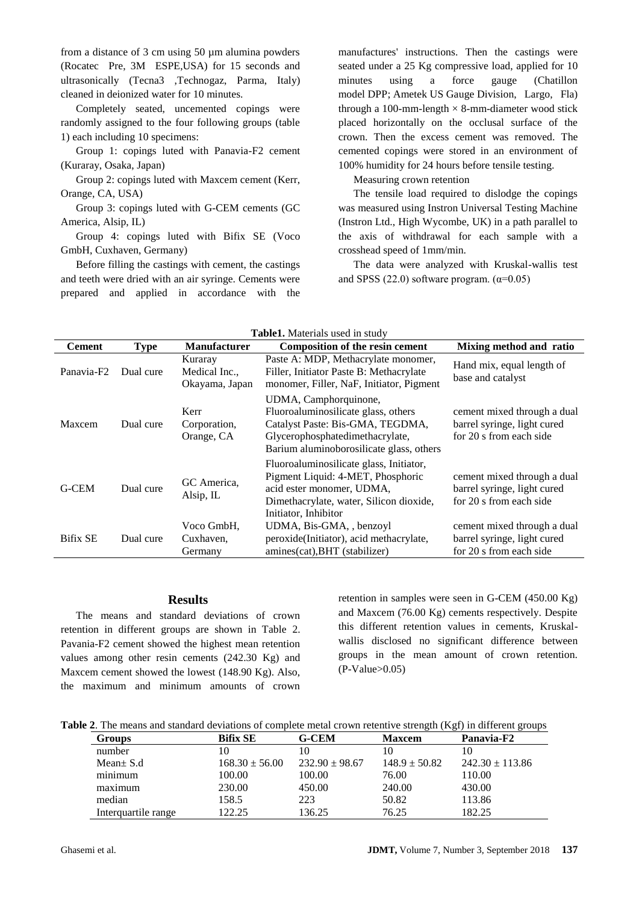from a distance of 3 cm using 50 µm alumina powders (Rocatec Pre, 3M ESPE,USA) for 15 seconds and ultrasonically (Tecna3 ,Technogaz, Parma, Italy) cleaned in deionized water for 10 minutes.

Completely seated, uncemented copings were randomly assigned to the four following groups (table 1) each including 10 specimens:

Group 1: copings luted with Panavia-F2 cement (Kuraray, Osaka, Japan)

Group 2: copings luted with Maxcem cement (Kerr, Orange, CA, USA)

Group 3: copings luted with G-CEM cements (GC America, Alsip, IL)

Group 4: copings luted with Bifix SE (Voco GmbH, Cuxhaven, Germany)

Before filling the castings with cement, the castings and teeth were dried with an air syringe. Cements were prepared and applied in accordance with the

manufactures' instructions. Then the castings were seated under a 25 Kg compressive load, applied for 10 minutes using a force gauge (Chatillon model DPP; Ametek US Gauge Division, Largo, Fla) through a 100-mm-length  $\times$  8-mm-diameter wood stick placed horizontally on the occlusal surface of the crown. Then the excess cement was removed. The cemented copings were stored in an environment of 100% humidity for 24 hours before tensile testing.

Measuring crown retention

The tensile load required to dislodge the copings was measured using Instron Universal Testing Machine (Instron Ltd., High Wycombe, UK) in a path parallel to the axis of withdrawal for each sample with a crosshead speed of 1mm/min.

The data were analyzed with Kruskal-wallis test and SPSS (22.0) software program.  $(\alpha=0.05)$ 

| <b>Cement</b>          | <b>Type</b> | <b>Manufacturer</b>                        | <b>Composition of the resin cement</b>                                                                                                                                          | Mixing method and ratio                                                               |
|------------------------|-------------|--------------------------------------------|---------------------------------------------------------------------------------------------------------------------------------------------------------------------------------|---------------------------------------------------------------------------------------|
| Panavia-F <sub>2</sub> | Dual cure   | Kuraray<br>Medical Inc.,<br>Okayama, Japan | Paste A: MDP, Methacrylate monomer,<br>Filler, Initiator Paste B: Methacrylate<br>monomer, Filler, NaF, Initiator, Pigment                                                      | Hand mix, equal length of<br>base and catalyst                                        |
| Maxcem                 | Dual cure   | Kerr<br>Corporation,<br>Orange, CA         | UDMA, Camphorquinone,<br>Fluoroaluminosilicate glass, others<br>Catalyst Paste: Bis-GMA, TEGDMA,<br>Glycerophosphatedimethacrylate,<br>Barium aluminoborosilicate glass, others | cement mixed through a dual<br>barrel syringe, light cured<br>for 20 s from each side |
| G-CEM                  | Dual cure   | GC America,<br>Alsip, IL                   | Fluoroaluminosilicate glass, Initiator,<br>Pigment Liquid: 4-MET, Phosphoric<br>acid ester monomer, UDMA,<br>Dimethacrylate, water, Silicon dioxide,<br>Initiator, Inhibitor    | cement mixed through a dual<br>barrel syringe, light cured<br>for 20 s from each side |
| <b>Bifix SE</b>        | Dual cure   | Voco GmbH.<br>Cuxhaven,<br>Germany         | UDMA, Bis-GMA, , benzoyl<br>peroxide(Initiator), acid methacrylate,<br>amines(cat), BHT (stabilizer)                                                                            | cement mixed through a dual<br>barrel syringe, light cured<br>for 20 s from each side |

**Table1.** Materials

#### **Results**

The means and standard deviations of crown retention in different groups are shown in Table 2. Pavania-F2 cement showed the highest mean retention values among other resin cements (242.30 Kg) and Maxcem cement showed the lowest (148.90 Kg). Also, the maximum and minimum amounts of crown

retention in samples were seen in G-CEM (450.00 Kg) and Maxcem (76.00 Kg) cements respectively. Despite this different retention values in cements, Kruskalwallis disclosed no significant difference between groups in the mean amount of crown retention. (P-Value>0.05)

| Table 2. The means and standard deviations of complete metal crown retentive strength (Kgf) in different groups |  |  |
|-----------------------------------------------------------------------------------------------------------------|--|--|
|-----------------------------------------------------------------------------------------------------------------|--|--|

| <b>Groups</b>       | <b>Bifix SE</b>    | <b>G-CEM</b>       | <b>Maxcem</b>     | Panavia-F2          |  |
|---------------------|--------------------|--------------------|-------------------|---------------------|--|
| number              | 10                 |                    | 10                |                     |  |
| Mean $\pm$ S.d.     | $168.30 \pm 56.00$ | $232.90 \pm 98.67$ | $148.9 \pm 50.82$ | $242.30 \pm 113.86$ |  |
| minimum             | 100.00             | 100.00             | 76.00             | 110.00              |  |
| maximum             | 230.00             | 450.00             | 240.00            | 430.00              |  |
| median              | 158.5              | 223                | 50.82             | 113.86              |  |
| Interquartile range | 122.25             | 136.25             | 76.25             | 182.25              |  |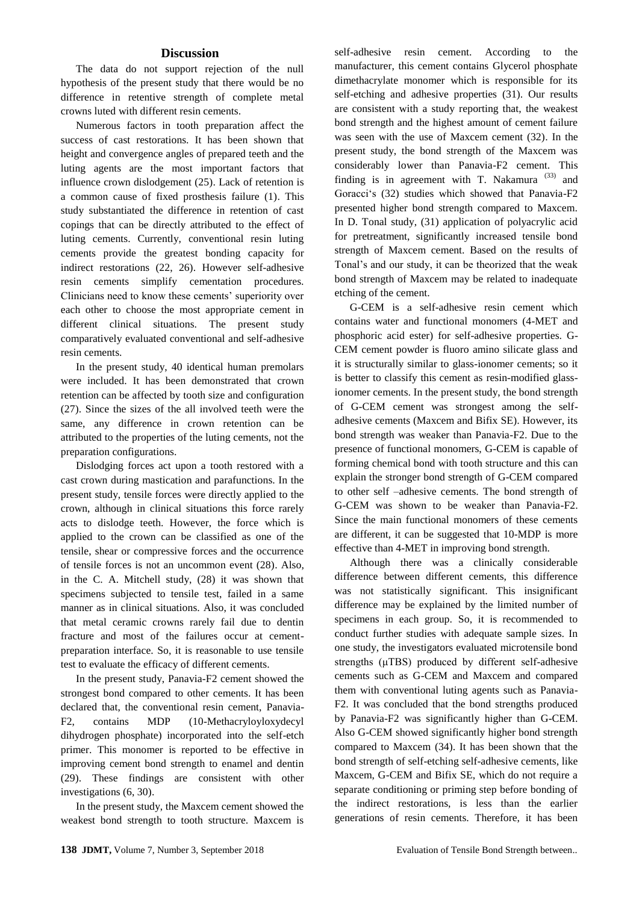#### **Discussion**

The data do not support rejection of the null hypothesis of the present study that there would be no difference in retentive strength of complete metal crowns luted with different resin cements.

Numerous factors in tooth preparation affect the success of cast restorations. It has been shown that height and convergence angles of prepared teeth and the luting agents are the most important factors that influence crown dislodgement (25). Lack of retention is a common cause of fixed prosthesis failure (1). This study substantiated the difference in retention of cast copings that can be directly attributed to the effect of luting cements. Currently, conventional resin luting cements provide the greatest bonding capacity for indirect restorations (22, 26). However self-adhesive resin cements simplify cementation procedures. Clinicians need to know these cements' superiority over each other to choose the most appropriate cement in different clinical situations. The present study comparatively evaluated conventional and self-adhesive resin cements.

In the present study, 40 identical human premolars were included. It has been demonstrated that crown retention can be affected by tooth size and configuration (27). Since the sizes of the all involved teeth were the same, any difference in crown retention can be attributed to the properties of the luting cements, not the preparation configurations.

Dislodging forces act upon a tooth restored with a cast crown during mastication and parafunctions. In the present study, tensile forces were directly applied to the crown, although in clinical situations this force rarely acts to dislodge teeth. However, the force which is applied to the crown can be classified as one of the tensile, shear or compressive forces and the occurrence of tensile forces is not an uncommon event (28). Also, in the C. A. Mitchell study, (28) it was shown that specimens subjected to tensile test, failed in a same manner as in clinical situations. Also, it was concluded that metal ceramic crowns rarely fail due to dentin fracture and most of the failures occur at cementpreparation interface. So, it is reasonable to use tensile test to evaluate the efficacy of different cements.

In the present study, Panavia-F2 cement showed the strongest bond compared to other cements. It has been declared that, the conventional resin cement, Panavia-F2, contains MDP (10-Methacryloyloxydecyl dihydrogen phosphate) incorporated into the self-etch primer. This monomer is reported to be effective in improving cement bond strength to enamel and dentin (29). These findings are consistent with other investigations (6, 30).

In the present study, the Maxcem cement showed the weakest bond strength to tooth structure. Maxcem is self-adhesive resin cement. According to the manufacturer, this cement contains Glycerol phosphate dimethacrylate monomer which is responsible for its self-etching and adhesive properties (31). Our results are consistent with a study reporting that, the weakest bond strength and the highest amount of cement failure was seen with the use of Maxcem cement (32). In the present study, the bond strength of the Maxcem was considerably lower than Panavia-F2 cement. This finding is in agreement with T. Nakamura  $(33)$  and Goracci's (32) studies which showed that Panavia-F2 presented higher bond strength compared to Maxcem. In D. Tonal study, (31) application of polyacrylic acid for pretreatment, significantly increased tensile bond strength of Maxcem cement. Based on the results of Tonal's and our study, it can be theorized that the weak bond strength of Maxcem may be related to inadequate etching of the cement.

G-CEM is a self-adhesive resin cement which contains water and functional monomers (4-MET and phosphoric acid ester) for self-adhesive properties. G-CEM cement powder is fluoro amino silicate glass and it is structurally similar to glass-ionomer cements; so it is better to classify this cement as resin-modified glassionomer cements. In the present study, the bond strength of G-CEM cement was strongest among the selfadhesive cements (Maxcem and Bifix SE). However, its bond strength was weaker than Panavia-F2. Due to the presence of functional monomers, G-CEM is capable of forming chemical bond with tooth structure and this can explain the stronger bond strength of G-CEM compared to other self –adhesive cements. The bond strength of G-CEM was shown to be weaker than Panavia-F2. Since the main functional monomers of these cements are different, it can be suggested that 10-MDP is more effective than 4-MET in improving bond strength.

Although there was a clinically considerable difference between different cements, this difference was not statistically significant. This insignificant difference may be explained by the limited number of specimens in each group. So, it is recommended to conduct further studies with adequate sample sizes. In one study, the investigators evaluated microtensile bond strengths (μTBS) produced by different self-adhesive cements such as G-CEM and Maxcem and compared them with conventional luting agents such as Panavia-F2. It was concluded that the bond strengths produced by Panavia-F2 was significantly higher than G-CEM. Also G-CEM showed significantly higher bond strength compared to Maxcem (34). It has been shown that the bond strength of self-etching self-adhesive cements, like Maxcem, G-CEM and Bifix SE, which do not require a separate conditioning or priming step before bonding of the indirect restorations, is less than the earlier generations of resin cements. Therefore, it has been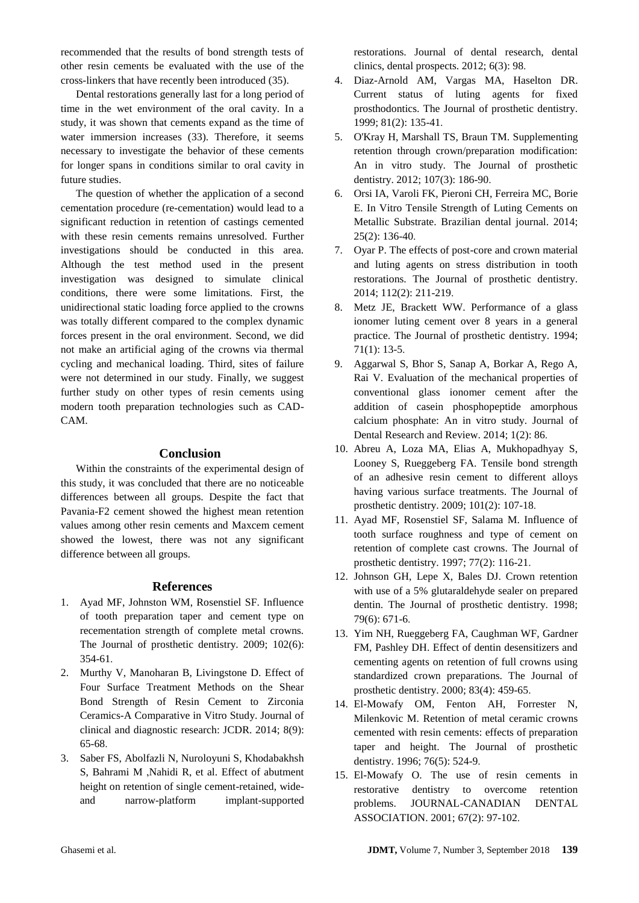recommended that the results of bond strength tests of other resin cements be evaluated with the use of the cross-linkers that have recently been introduced (35).

Dental restorations generally last for a long period of time in the wet environment of the oral cavity. In a study, it was shown that cements expand as the time of water immersion increases (33). Therefore, it seems necessary to investigate the behavior of these cements for longer spans in conditions similar to oral cavity in future studies.

The question of whether the application of a second cementation procedure (re-cementation) would lead to a significant reduction in retention of castings cemented with these resin cements remains unresolved. Further investigations should be conducted in this area. Although the test method used in the present investigation was designed to simulate clinical conditions, there were some limitations. First, the unidirectional static loading force applied to the crowns was totally different compared to the complex dynamic forces present in the oral environment. Second, we did not make an artificial aging of the crowns via thermal cycling and mechanical loading. Third, sites of failure were not determined in our study. Finally, we suggest further study on other types of resin cements using modern tooth preparation technologies such as CAD-CAM.

#### **Conclusion**

Within the constraints of the experimental design of this study, it was concluded that there are no noticeable differences between all groups. Despite the fact that Pavania-F2 cement showed the highest mean retention values among other resin cements and Maxcem cement showed the lowest, there was not any significant difference between all groups.

#### **References**

- 1. Ayad MF, Johnston WM, Rosenstiel SF. Influence of tooth preparation taper and cement type on recementation strength of complete metal crowns. The Journal of prosthetic dentistry. 2009; 102(6): 354-61.
- 2. Murthy V, Manoharan B, Livingstone D. Effect of Four Surface Treatment Methods on the Shear Bond Strength of Resin Cement to Zirconia Ceramics-A Comparative in Vitro Study. Journal of clinical and diagnostic research: JCDR. 2014; 8(9): 65-68.
- 3. Saber FS, Abolfazli N, Nuroloyuni S, Khodabakhsh S, Bahrami M ,Nahidi R, et al. Effect of abutment height on retention of single cement-retained, wideand narrow-platform implant-supported

restorations. Journal of dental research, dental clinics, dental prospects. 2012; 6(3): 98.

- 4. Diaz-Arnold AM, Vargas MA, Haselton DR. Current status of luting agents for fixed prosthodontics. The Journal of prosthetic dentistry. 1999; 81(2): 135-41.
- 5. O'Kray H, Marshall TS, Braun TM. Supplementing retention through crown/preparation modification: An in vitro study. The Journal of prosthetic dentistry. 2012; 107(3): 186-90.
- 6. Orsi IA, Varoli FK, Pieroni CH, Ferreira MC, Borie E. In Vitro Tensile Strength of Luting Cements on Metallic Substrate. Brazilian dental journal. 2014; 25(2): 136-40.
- 7. Oyar P. The effects of post-core and crown material and luting agents on stress distribution in tooth restorations. The Journal of prosthetic dentistry. 2014; 112(2): 211-219.
- 8. Metz JE, Brackett WW. Performance of a glass ionomer luting cement over 8 years in a general practice. The Journal of prosthetic dentistry. 1994; 71(1): 13-5.
- 9. Aggarwal S, Bhor S, Sanap A, Borkar A, Rego A, Rai V. Evaluation of the mechanical properties of conventional glass ionomer cement after the addition of casein phosphopeptide amorphous calcium phosphate: An in vitro study. Journal of Dental Research and Review. 2014; 1(2): 86.
- 10. Abreu A, Loza MA, Elias A, Mukhopadhyay S, Looney S, Rueggeberg FA. Tensile bond strength of an adhesive resin cement to different alloys having various surface treatments. The Journal of prosthetic dentistry. 2009; 101(2): 107-18.
- 11. Ayad MF, Rosenstiel SF, Salama M. Influence of tooth surface roughness and type of cement on retention of complete cast crowns. The Journal of prosthetic dentistry. 1997; 77(2): 116-21.
- 12. Johnson GH, Lepe X, Bales DJ. Crown retention with use of a 5% glutaraldehyde sealer on prepared dentin. The Journal of prosthetic dentistry. 1998; 79(6): 671-6.
- 13. Yim NH, Rueggeberg FA, Caughman WF, Gardner FM, Pashley DH. Effect of dentin desensitizers and cementing agents on retention of full crowns using standardized crown preparations. The Journal of prosthetic dentistry. 2000; 83(4): 459-65.
- 14. El-Mowafy OM, Fenton AH, Forrester N, Milenkovic M. Retention of metal ceramic crowns cemented with resin cements: effects of preparation taper and height. The Journal of prosthetic dentistry. 1996; 76(5): 524-9.
- 15. El-Mowafy O. The use of resin cements in restorative dentistry to overcome retention problems. JOURNAL-CANADIAN DENTAL ASSOCIATION. 2001; 67(2): 97-102.